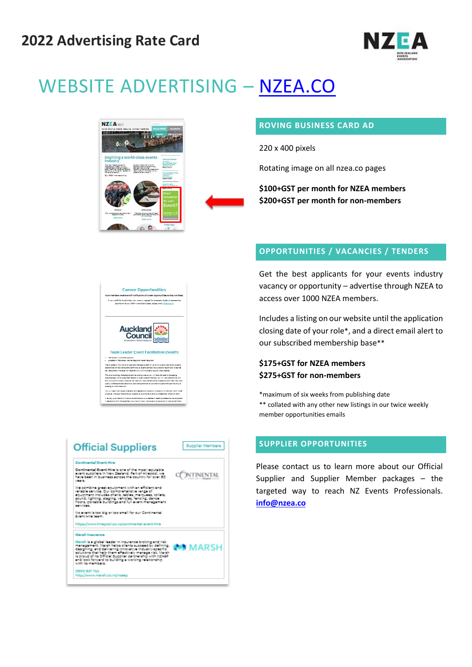

# WEBSITE ADVERTISING – [NZEA.CO](http://www.nzea.co/)



#### **ROVING BUSINESS CARD AD**

220 x 400 pixels

Rotating image on all nzea.co pages

**\$100+GST per month for NZEA members \$200+GST per month for non-members**

### **OPPORTUNITIES / VACANCIES / TENDERS**

Get the best applicants for your events industry vacancy or opportunity – advertise through NZEA to access over 1000 NZEA members.

Includes a listing on our website until the application closing date of your role\*, and a direct email alert to our subscribed membership base\*\*

### **\$175+GST for NZEA members \$275+GST for non-members**

\*maximum of six weeks from publishing date \*\* collated with any other new listings in our twice weekly member opportunities emails

#### **SUPPLIER OPPORTUNITIES**

Please contact us to learn more about our Official Supplier and Supplier Member packages – the targeted way to reach NZ Events Professionals. **[info@nzea.co](mailto:info@nzea.co)**

.<br>Nouid like to adverting your vocamey, request for proposals, tender or sporsorship.<br>Oppostunity to our 10004 membership base, please email info@naps.co **Auckland** ❤ Council **Team Leader Event Facilitation (South)** . Permanent Full-time powton<br>. Located in Manukau - some regional travel required The gurgose of this role is to lead and manage a team of ug to five event<br>responsible for facilitating and germitting all events across the Auditand r<br>key relationship manager for the event unit with Auditand Council local .<br>Natilistion experts<br>nion and in he the

**Career Opportunities** 

This is an excling, challenging and revarding role as you will lake the lead in must<br>militantly with diverse locations and in exercisive matter. You will rest as your and and interest of the stat<br>post unit communities to e ull need high levels of energy and leadership capability. Ihe ability to maintain calm us<br>we, manage relationships, legislative regulrements and a professional, effective leam A tertiny gualification in Siveria is desirable as is evidence of recent professional develop<br>In leadership and management, a current driver's license and experience in local governs

| <b>Official Suppliers</b>                                                                                                                                                                                                                                                                                                                                                       | Supplier Members |
|---------------------------------------------------------------------------------------------------------------------------------------------------------------------------------------------------------------------------------------------------------------------------------------------------------------------------------------------------------------------------------|------------------|
| <b>Continental Event Hire</b>                                                                                                                                                                                                                                                                                                                                                   |                  |
| Continental Event Hire is one of the most requisible.<br>event suppliers in New Zealand. Part of Hirepool, we<br>have been in business across the country for over 50.<br>veers.                                                                                                                                                                                                |                  |
| We combine great equipment with an efficient and<br>reliable service. Our comprehensive renge of<br>equipment includes chairs, tables, marquees, toilets,<br>sound, lighting, staging, vehicles, fancing, dance<br>floors, nortable buildings and full event management.<br>services.                                                                                           |                  |
| No event is too big or too small for our Continental<br>Downt Wine teams.                                                                                                                                                                                                                                                                                                       |                  |
| https://www.hirepool.co.nz/continental-event-hire                                                                                                                                                                                                                                                                                                                               |                  |
| <b>Marsh Insurance</b>                                                                                                                                                                                                                                                                                                                                                          |                  |
| Marsh (s.a.global leader in Insurance broking and risk)<br>menagement. Marsh helps clients succeed by defining.<br>designing, and delivering innovative industry-specific<br>solutions that help them effectively manage risk. Marsh.<br>is proud of its Official Supplier partnership with NZAEP.<br>and look forward to building a working relationship.<br>with its members. | <b>AARSH</b>     |
| CADO 527 744<br>http://www.marsh.co.nz/nzeep                                                                                                                                                                                                                                                                                                                                    |                  |
|                                                                                                                                                                                                                                                                                                                                                                                 |                  |